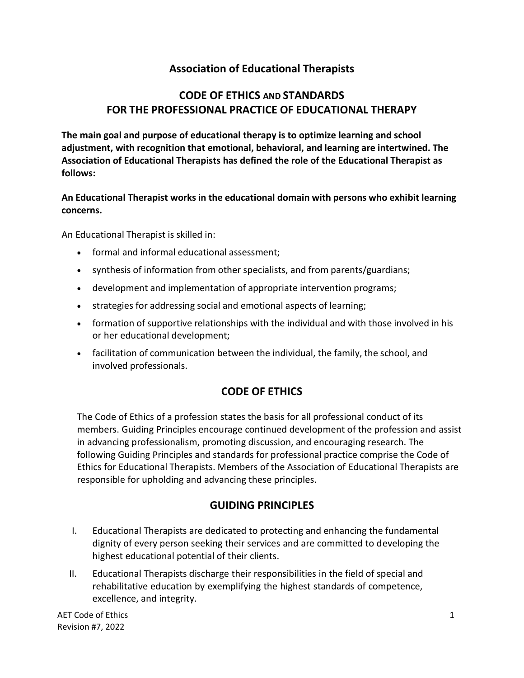## **Association of Educational Therapists**

## **CODE OF ETHICS AND STANDARDS FOR THE PROFESSIONAL PRACTICE OF EDUCATIONAL THERAPY**

**The main goal and purpose of educational therapy is to optimize learning and school adjustment, with recognition that emotional, behavioral, and learning are intertwined. The Association of Educational Therapists has defined the role of the Educational Therapist as follows:**

**An Educational Therapist works in the educational domain with persons who exhibit learning concerns.**

An Educational Therapist is skilled in:

- formal and informal educational assessment;
- synthesis of information from other specialists, and from parents/guardians;
- development and implementation of appropriate intervention programs;
- strategies for addressing social and emotional aspects of learning;
- formation of supportive relationships with the individual and with those involved in his or her educational development;
- facilitation of communication between the individual, the family, the school, and involved professionals.

# **CODE OF ETHICS**

The Code of Ethics of a profession states the basis for all professional conduct of its members. Guiding Principles encourage continued development of the profession and assist in advancing professionalism, promoting discussion, and encouraging research. The following Guiding Principles and standards for professional practice comprise the Code of Ethics for Educational Therapists. Members of the Association of Educational Therapists are responsible for upholding and advancing these principles.

### **GUIDING PRINCIPLES**

- I. Educational Therapists are dedicated to protecting and enhancing the fundamental dignity of every person seeking their services and are committed to developing the highest educational potential of their clients.
- II. Educational Therapists discharge their responsibilities in the field of special and rehabilitative education by exemplifying the highest standards of competence, excellence, and integrity.

 $\mathsf{A}\mathsf{E}\mathsf{T}$  Code of Ethics  $\mathsf{T}$ Revision #7, 2022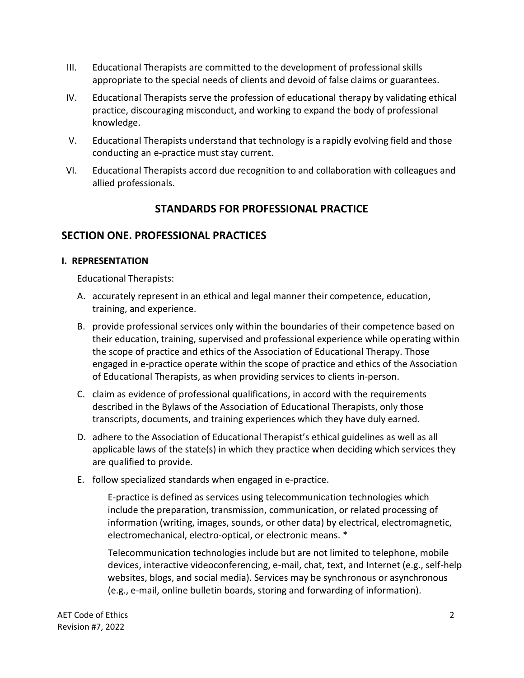- III. Educational Therapists are committed to the development of professional skills appropriate to the special needs of clients and devoid of false claims or guarantees.
- IV. Educational Therapists serve the profession of educational therapy by validating ethical practice, discouraging misconduct, and working to expand the body of professional knowledge.
- V. Educational Therapists understand that technology is a rapidly evolving field and those conducting an e-practice must stay current.
- VI. Educational Therapists accord due recognition to and collaboration with colleagues and allied professionals.

### **STANDARDS FOR PROFESSIONAL PRACTICE**

### **SECTION ONE. PROFESSIONAL PRACTICES**

### **I. REPRESENTATION**

Educational Therapists:

- A. accurately represent in an ethical and legal manner their competence, education, training, and experience.
- B. provide professional services only within the boundaries of their competence based on their education, training, supervised and professional experience while operating within the scope of practice and ethics of the Association of Educational Therapy. Those engaged in e-practice operate within the scope of practice and ethics of the Association of Educational Therapists, as when providing services to clients in-person.
- C. claim as evidence of professional qualifications, in accord with the requirements described in the Bylaws of the Association of Educational Therapists, only those transcripts, documents, and training experiences which they have duly earned.
- D. adhere to the Association of Educational Therapist's ethical guidelines as well as all applicable laws of the state(s) in which they practice when deciding which services they are qualified to provide.
- E. follow specialized standards when engaged in e-practice.

E-practice is defined as services using telecommunication technologies which include the preparation, transmission, communication, or related processing of information (writing, images, sounds, or other data) by electrical, electromagnetic, electromechanical, electro-optical, or electronic means. \*

Telecommunication technologies include but are not limited to telephone, mobile devices, interactive videoconferencing, e-mail, chat, text, and Internet (e.g., self-help websites, blogs, and social media). Services may be synchronous or asynchronous (e.g., e-mail, online bulletin boards, storing and forwarding of information).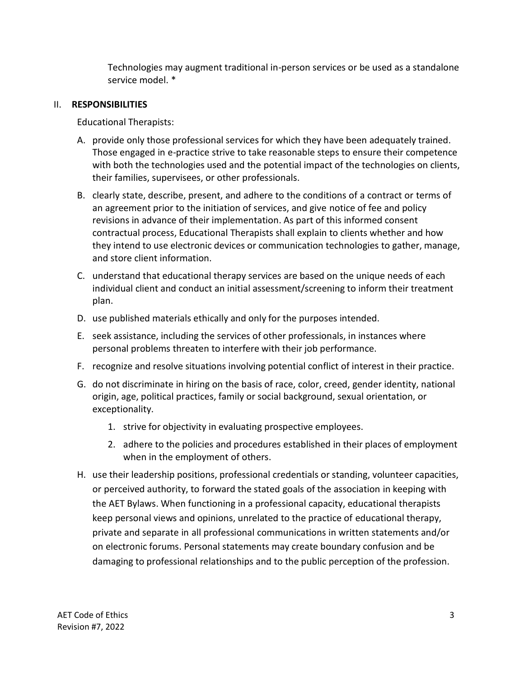Technologies may augment traditional in-person services or be used as a standalone service model. \*

#### II. **RESPONSIBILITIES**

Educational Therapists:

- A. provide only those professional services for which they have been adequately trained. Those engaged in e-practice strive to take reasonable steps to ensure their competence with both the technologies used and the potential impact of the technologies on clients, their families, supervisees, or other professionals.
- B. clearly state, describe, present, and adhere to the conditions of a contract or terms of an agreement prior to the initiation of services, and give notice of fee and policy revisions in advance of their implementation. As part of this informed consent contractual process, Educational Therapists shall explain to clients whether and how they intend to use electronic devices or communication technologies to gather, manage, and store client information.
- C. understand that educational therapy services are based on the unique needs of each individual client and conduct an initial assessment/screening to inform their treatment plan.
- D. use published materials ethically and only for the purposes intended.
- E. seek assistance, including the services of other professionals, in instances where personal problems threaten to interfere with their job performance.
- F. recognize and resolve situations involving potential conflict of interest in their practice.
- G. do not discriminate in hiring on the basis of race, color, creed, gender identity, national origin, age, political practices, family or social background, sexual orientation, or exceptionality.
	- 1. strive for objectivity in evaluating prospective employees.
	- 2. adhere to the policies and procedures established in their places of employment when in the employment of others.
- H. use their leadership positions, professional credentials or standing, volunteer capacities, or perceived authority, to forward the stated goals of the association in keeping with the AET Bylaws. When functioning in a professional capacity, educational therapists keep personal views and opinions, unrelated to the practice of educational therapy, private and separate in all professional communications in written statements and/or on electronic forums. Personal statements may create boundary confusion and be damaging to professional relationships and to the public perception of the profession.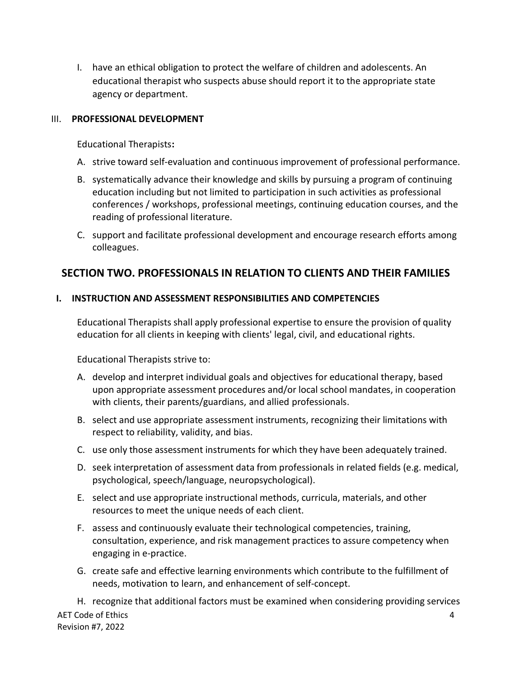I. have an ethical obligation to protect the welfare of children and adolescents. An educational therapist who suspects abuse should report it to the appropriate state agency or department.

#### III. **PROFESSIONAL DEVELOPMENT**

Educational Therapists**:**

- A. strive toward self-evaluation and continuous improvement of professional performance.
- B. systematically advance their knowledge and skills by pursuing a program of continuing education including but not limited to participation in such activities as professional conferences / workshops, professional meetings, continuing education courses, and the reading of professional literature.
- C. support and facilitate professional development and encourage research efforts among colleagues.

### **SECTION TWO. PROFESSIONALS IN RELATION TO CLIENTS AND THEIR FAMILIES**

### **I. INSTRUCTION AND ASSESSMENT RESPONSIBILITIES AND COMPETENCIES**

Educational Therapists shall apply professional expertise to ensure the provision of quality education for all clients in keeping with clients' legal, civil, and educational rights.

Educational Therapists strive to:

- A. develop and interpret individual goals and objectives for educational therapy, based upon appropriate assessment procedures and/or local school mandates, in cooperation with clients, their parents/guardians, and allied professionals.
- B. select and use appropriate assessment instruments, recognizing their limitations with respect to reliability, validity, and bias.
- C. use only those assessment instruments for which they have been adequately trained.
- D. seek interpretation of assessment data from professionals in related fields (e.g. medical, psychological, speech/language, neuropsychological).
- E. select and use appropriate instructional methods, curricula, materials, and other resources to meet the unique needs of each client.
- F. assess and continuously evaluate their technological competencies, training, consultation, experience, and risk management practices to assure competency when engaging in e-practice.
- G. create safe and effective learning environments which contribute to the fulfillment of needs, motivation to learn, and enhancement of self-concept.

AET Code of Ethics 4 Revision #7, 2022 H. recognize that additional factors must be examined when considering providing services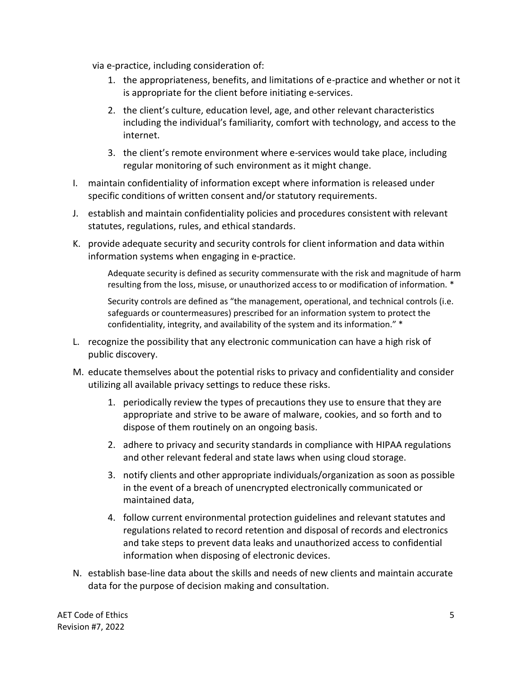via e-practice, including consideration of:

- 1. the appropriateness, benefits, and limitations of e-practice and whether or not it is appropriate for the client before initiating e-services.
- 2. the client's culture, education level, age, and other relevant characteristics including the individual's familiarity, comfort with technology, and access to the internet.
- 3. the client's remote environment where e-services would take place, including regular monitoring of such environment as it might change.
- I. maintain confidentiality of information except where information is released under specific conditions of written consent and/or statutory requirements.
- J. establish and maintain confidentiality policies and procedures consistent with relevant statutes, regulations, rules, and ethical standards.
- K. provide adequate security and security controls for client information and data within information systems when engaging in e-practice.

Adequate security is defined as security commensurate with the risk and magnitude of harm resulting from the loss, misuse, or unauthorized access to or modification of information. \*

Security controls are defined as "the management, operational, and technical controls (i.e. safeguards or countermeasures) prescribed for an information system to protect the confidentiality, integrity, and availability of the system and its information." \*

- L. recognize the possibility that any electronic communication can have a high risk of public discovery.
- M. educate themselves about the potential risks to privacy and confidentiality and consider utilizing all available privacy settings to reduce these risks.
	- 1. periodically review the types of precautions they use to ensure that they are appropriate and strive to be aware of malware, cookies, and so forth and to dispose of them routinely on an ongoing basis.
	- 2. adhere to privacy and security standards in compliance with HIPAA regulations and other relevant federal and state laws when using cloud storage.
	- 3. notify clients and other appropriate individuals/organization as soon as possible in the event of a breach of unencrypted electronically communicated or maintained data,
	- 4. follow current environmental protection guidelines and relevant statutes and regulations related to record retention and disposal of records and electronics and take steps to prevent data leaks and unauthorized access to confidential information when disposing of electronic devices.
- N. establish base-line data about the skills and needs of new clients and maintain accurate data for the purpose of decision making and consultation.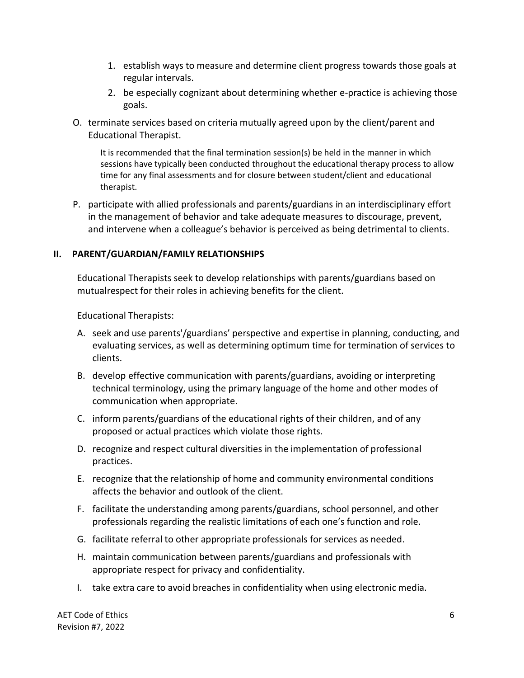- 1. establish ways to measure and determine client progress towards those goals at regular intervals.
- 2. be especially cognizant about determining whether e-practice is achieving those goals.
- O. terminate services based on criteria mutually agreed upon by the client/parent and Educational Therapist.

It is recommended that the final termination session(s) be held in the manner in which sessions have typically been conducted throughout the educational therapy process to allow time for any final assessments and for closure between student/client and educational therapist.

P. participate with allied professionals and parents/guardians in an interdisciplinary effort in the management of behavior and take adequate measures to discourage, prevent, and intervene when a colleague's behavior is perceived as being detrimental to clients.

#### **II. PARENT/GUARDIAN/FAMILY RELATIONSHIPS**

Educational Therapists seek to develop relationships with parents/guardians based on mutualrespect for their roles in achieving benefits for the client.

Educational Therapists:

- A. seek and use parents'/guardians' perspective and expertise in planning, conducting, and evaluating services, as well as determining optimum time for termination of services to clients.
- B. develop effective communication with parents/guardians, avoiding or interpreting technical terminology, using the primary language of the home and other modes of communication when appropriate.
- C. inform parents/guardians of the educational rights of their children, and of any proposed or actual practices which violate those rights.
- D. recognize and respect cultural diversities in the implementation of professional practices.
- E. recognize that the relationship of home and community environmental conditions affects the behavior and outlook of the client.
- F. facilitate the understanding among parents/guardians, school personnel, and other professionals regarding the realistic limitations of each one's function and role.
- G. facilitate referral to other appropriate professionals for services as needed.
- H. maintain communication between parents/guardians and professionals with appropriate respect for privacy and confidentiality.
- I. take extra care to avoid breaches in confidentiality when using electronic media.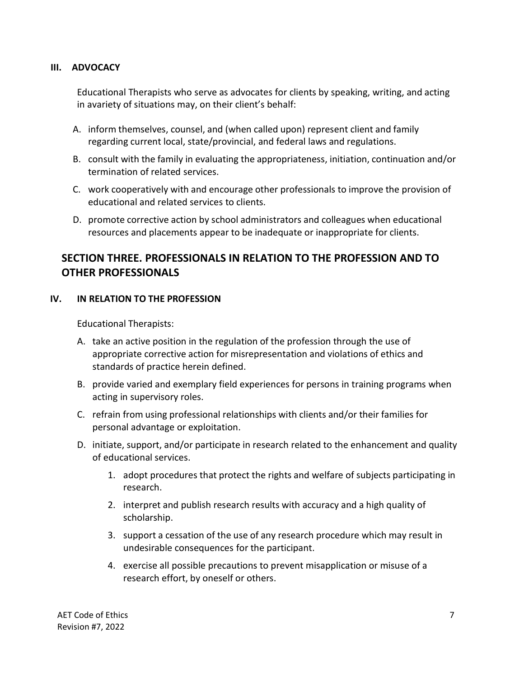#### **III. ADVOCACY**

Educational Therapists who serve as advocates for clients by speaking, writing, and acting in avariety of situations may, on their client's behalf:

- A. inform themselves, counsel, and (when called upon) represent client and family regarding current local, state/provincial, and federal laws and regulations.
- B. consult with the family in evaluating the appropriateness, initiation, continuation and/or termination of related services.
- C. work cooperatively with and encourage other professionals to improve the provision of educational and related services to clients.
- D. promote corrective action by school administrators and colleagues when educational resources and placements appear to be inadequate or inappropriate for clients.

### **SECTION THREE. PROFESSIONALS IN RELATION TO THE PROFESSION AND TO OTHER PROFESSIONALS**

#### **IV. IN RELATION TO THE PROFESSION**

Educational Therapists:

- A. take an active position in the regulation of the profession through the use of appropriate corrective action for misrepresentation and violations of ethics and standards of practice herein defined.
- B. provide varied and exemplary field experiences for persons in training programs when acting in supervisory roles.
- C. refrain from using professional relationships with clients and/or their families for personal advantage or exploitation.
- D. initiate, support, and/or participate in research related to the enhancement and quality of educational services.
	- 1. adopt procedures that protect the rights and welfare of subjects participating in research.
	- 2. interpret and publish research results with accuracy and a high quality of scholarship.
	- 3. support a cessation of the use of any research procedure which may result in undesirable consequences for the participant.
	- 4. exercise all possible precautions to prevent misapplication or misuse of a research effort, by oneself or others.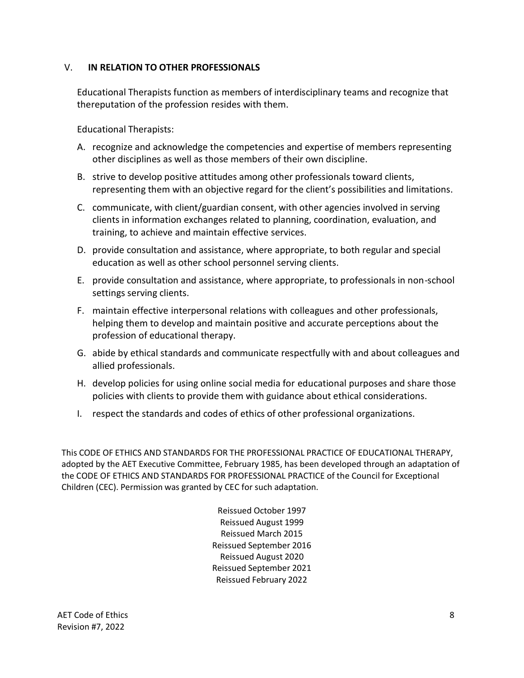#### V. **IN RELATION TO OTHER PROFESSIONALS**

Educational Therapists function as members of interdisciplinary teams and recognize that thereputation of the profession resides with them.

Educational Therapists:

- A. recognize and acknowledge the competencies and expertise of members representing other disciplines as well as those members of their own discipline.
- B. strive to develop positive attitudes among other professionals toward clients, representing them with an objective regard for the client's possibilities and limitations.
- C. communicate, with client/guardian consent, with other agencies involved in serving clients in information exchanges related to planning, coordination, evaluation, and training, to achieve and maintain effective services.
- D. provide consultation and assistance, where appropriate, to both regular and special education as well as other school personnel serving clients.
- E. provide consultation and assistance, where appropriate, to professionals in non-school settings serving clients.
- F. maintain effective interpersonal relations with colleagues and other professionals, helping them to develop and maintain positive and accurate perceptions about the profession of educational therapy.
- G. abide by ethical standards and communicate respectfully with and about colleagues and allied professionals.
- H. develop policies for using online social media for educational purposes and share those policies with clients to provide them with guidance about ethical considerations.
- I. respect the standards and codes of ethics of other professional organizations.

This CODE OF ETHICS AND STANDARDS FOR THE PROFESSIONAL PRACTICE OF EDUCATIONAL THERAPY, adopted by the AET Executive Committee, February 1985, has been developed through an adaptation of the CODE OF ETHICS AND STANDARDS FOR PROFESSIONAL PRACTICE of the Council for Exceptional Children (CEC). Permission was granted by CEC for such adaptation.

> Reissued October 1997 Reissued August 1999 Reissued March 2015 Reissued September 2016 Reissued August 2020 Reissued September 2021 Reissued February 2022